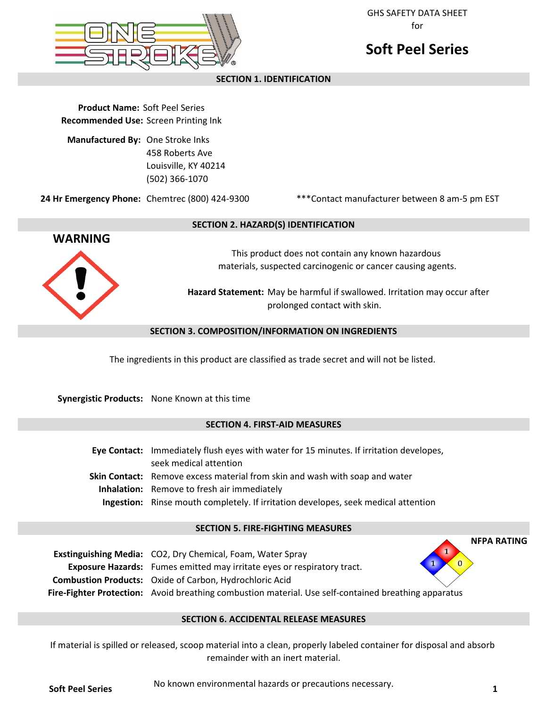

GHS SAFETY DATA SHEET for

# **Soft Peel Series**

# **SECTION 1. IDENTIFICATION**

**Product Name:** Soft Peel Series **Recommended Use:** Screen Printing Ink

**Manufactured By:** One Stroke Inks 458 Roberts Ave Louisville, KY 40214 (502) 366-1070

**24 Hr Emergency Phone:** Chemtrec (800) 424-9300

\*\*\*Contact manufacturer between 8 am-5 pm EST



## **SECTION 2. HAZARD(S) IDENTIFICATION**

This product does not contain any known hazardous materials, suspected carcinogenic or cancer causing agents.

**Hazard Statement:** May be harmful if swallowed. Irritation may occur after prolonged contact with skin.

## **SECTION 3. COMPOSITION/INFORMATION ON INGREDIENTS**

The ingredients in this product are classified as trade secret and will not be listed.

**Synergistic Products:** None Known at this time

# **SECTION 4. FIRST-AID MEASURES**

**Eye Contact:** Immediately flush eyes with water for 15 minutes. If irritation developes, seek medical attention Skin Contact: Remove excess material from skin and wash with soap and water **Inhalation:** Remove to fresh air immediately **Ingestion:** Rinse mouth completely. If irritation developes, seek medical attention

## **SECTION 5. FIRE-FIGHTING MEASURES**

| <b>Exstinguishing Media:</b> CO2, Dry Chemical, Foam, Water Spray                                           | 1 |
|-------------------------------------------------------------------------------------------------------------|---|
| <b>Exposure Hazards:</b> Fumes emitted may irritate eyes or respiratory tract.                              |   |
| <b>Combustion Products:</b> Oxide of Carbon, Hydrochloric Acid                                              |   |
| <b>Fire-Fighter Protection:</b> Avoid breathing combustion material. Use self-contained breathing apparatus |   |

# **SECTION 6. ACCIDENTAL RELEASE MEASURES**

If material is spilled or released, scoop material into a clean, properly labeled container for disposal and absorb remainder with an inert material.

No known environmental hazards or precautions necessary. **Soft Peel Series 1**

**NFPA RATING**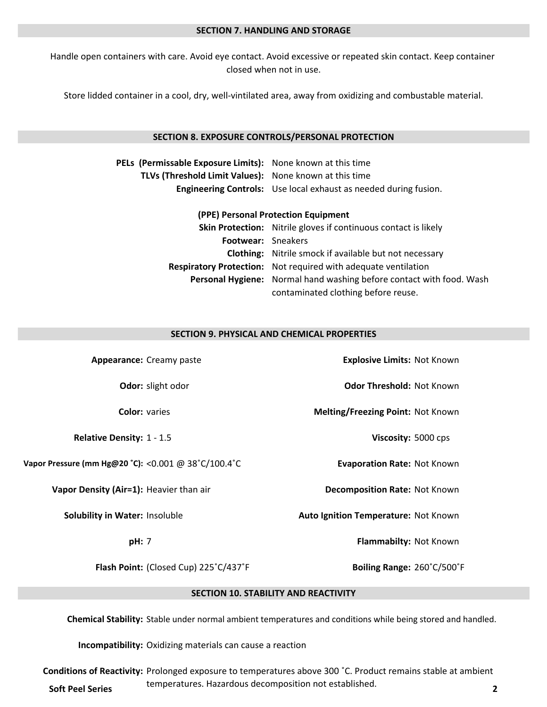#### **SECTION 7. HANDLING AND STORAGE**

closed when not in use. Handle open containers with care. Avoid eye contact. Avoid excessive or repeated skin contact. Keep container

Store lidded container in a cool, dry, well-vintilated area, away from oxidizing and combustable material.

## **SECTION 8. EXPOSURE CONTROLS/PERSONAL PROTECTION**

| PELs (Permissable Exposure Limits): None known at this time |                                                                  |
|-------------------------------------------------------------|------------------------------------------------------------------|
| TLVs (Threshold Limit Values): None known at this time      |                                                                  |
|                                                             | Engineering Controls: Use local exhaust as needed during fusion. |

#### **(PPE) Personal Protection Equipment**

|                    | <b>Skin Protection:</b> Nitrile gloves if continuous contact is likely      |  |
|--------------------|-----------------------------------------------------------------------------|--|
| Footwear: Sneakers |                                                                             |  |
|                    | <b>Clothing:</b> Nitrile smock if available but not necessary               |  |
|                    | <b>Respiratory Protection:</b> Not required with adequate ventilation       |  |
|                    | <b>Personal Hygiene:</b> Normal hand washing before contact with food. Wash |  |
|                    | contaminated clothing before reuse.                                         |  |

## **SECTION 9. PHYSICAL AND CHEMICAL PROPERTIES**

| Appearance: Creamy paste                            | <b>Explosive Limits: Not Known</b>   |  |
|-----------------------------------------------------|--------------------------------------|--|
| Odor: slight odor                                   | <b>Odor Threshold: Not Known</b>     |  |
| <b>Color: varies</b>                                | Melting/Freezing Point: Not Known    |  |
| <b>Relative Density: 1 - 1.5</b>                    | Viscosity: 5000 cps                  |  |
| Vapor Pressure (mm Hg@20 °C): <0.001 @ 38°C/100.4°C | <b>Evaporation Rate: Not Known</b>   |  |
| Vapor Density (Air=1): Heavier than air             | <b>Decomposition Rate: Not Known</b> |  |
| <b>Solubility in Water: Insoluble</b>               | Auto Ignition Temperature: Not Known |  |
| pH: 7                                               | Flammabilty: Not Known               |  |
| Flash Point: (Closed Cup) 225°C/437°F               | Boiling Range: 260°C/500°F           |  |
| <b>SECTION 10. STABILITY AND REACTIVITY</b>         |                                      |  |

**Chemical Stability:** Stable under normal ambient temperatures and conditions while being stored and handled.

**Incompatibility:** Oxidizing materials can cause a reaction

**Conditions of Reactivity:** Prolonged exposure to temperatures above 300 °C. Product remains stable at ambient temperatures. Hazardous decomposition not established. **Soft Peel Series <sup>2</sup>**